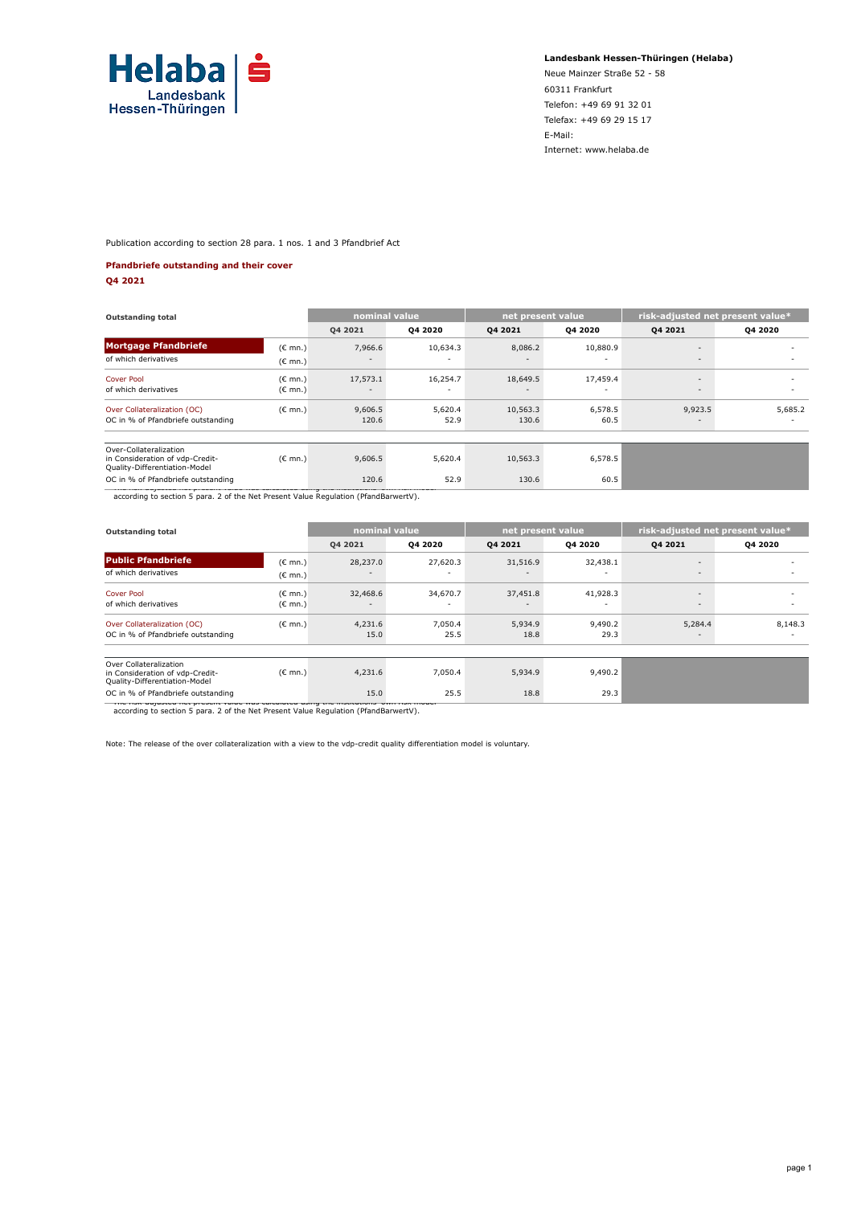

**Landesbank Hessen-Thüringen (Helaba)**

Neue Mainzer Straße 52 - 58 60311 Frankfurt Telefon: +49 69 91 32 01 Telefax: +49 69 29 15 17 E-Mail: Internet: www.helaba.de

Publication according to section 28 para. 1 nos. 1 and 3 Pfandbrief Act

#### **Pfandbriefe outstanding and their cover**

**Q4 2021**

| <b>Outstanding total</b>                                                                   |                   | nominal value |          | net present value        |                | risk-adjusted net present value* |                          |  |
|--------------------------------------------------------------------------------------------|-------------------|---------------|----------|--------------------------|----------------|----------------------------------|--------------------------|--|
|                                                                                            |                   | Q4 2021       | 04 20 20 | 04 20 21                 | <b>Q4 2020</b> | 04 2021                          | Q4 2020                  |  |
| <b>Mortgage Pfandbriefe</b>                                                                | $(C \text{ mn.})$ | 7,966.6       | 10,634.3 | 8,086.2                  | 10,880.9       | $\overline{\phantom{a}}$         |                          |  |
| of which derivatives                                                                       | $(C \text{ mn.})$ |               |          |                          |                | $\overline{\phantom{a}}$         |                          |  |
| <b>Cover Pool</b>                                                                          | $(C \text{ mn.})$ | 17,573.1      | 16,254.7 | 18,649.5                 | 17,459.4       | $\overline{\phantom{0}}$         | $\overline{\phantom{0}}$ |  |
| of which derivatives                                                                       | (€ mn.)           | $\sim$        | ٠        | $\overline{\phantom{a}}$ | ٠              | $\overline{\phantom{a}}$         | $\overline{\phantom{0}}$ |  |
| Over Collateralization (OC)                                                                | $(C \text{ mn.})$ | 9,606.5       | 5,620.4  | 10,563.3                 | 6,578.5        | 9,923.5                          | 5,685.2                  |  |
| OC in % of Pfandbriefe outstanding                                                         |                   | 120.6         | 52.9     | 130.6                    | 60.5           | $\overline{\phantom{a}}$         |                          |  |
|                                                                                            |                   |               |          |                          |                |                                  |                          |  |
| Over-Collateralization<br>in Consideration of vdp-Credit-<br>Quality-Differentiation-Model | $(C \text{ mn.})$ | 9,606.5       | 5,620.4  | 10,563.3                 | 6,578.5        |                                  |                          |  |
| OC in % of Pfandbriefe outstanding                                                         |                   | 120.6         | 52.9     | 130.6                    | 60.5           |                                  |                          |  |
| according to section 5 para. 2 of the Net Present Value Regulation (PfandBarwertV).        |                   |               |          |                          |                |                                  |                          |  |

| <b>Outstanding total</b>                                                                                                                                                                                                                                                    |                                        | nominal value                        |                                      | net present value                    |                                      | risk-adjusted net present value*    |                                     |  |
|-----------------------------------------------------------------------------------------------------------------------------------------------------------------------------------------------------------------------------------------------------------------------------|----------------------------------------|--------------------------------------|--------------------------------------|--------------------------------------|--------------------------------------|-------------------------------------|-------------------------------------|--|
|                                                                                                                                                                                                                                                                             |                                        | Q4 2021                              | Q4 2020                              | 04 2021                              | Q4 2020                              | 04 2021                             | Q4 2020                             |  |
| <b>Public Pfandbriefe</b>                                                                                                                                                                                                                                                   | $(C \text{ mn.})$                      | 28,237.0                             | 27,620.3                             | 31,516.9                             | 32,438.1                             | $\overline{\phantom{a}}$            |                                     |  |
| of which derivatives                                                                                                                                                                                                                                                        | $(E \text{ mn.})$                      | $\overline{\phantom{a}}$             |                                      | $\overline{\phantom{a}}$             |                                      | $\overline{\phantom{a}}$            | $\sim$                              |  |
| <b>Cover Pool</b><br>of which derivatives                                                                                                                                                                                                                                   | (€ mn.)<br>$(\mathsf{C} \mathsf{mn.})$ | 32,468.6<br>$\overline{\phantom{a}}$ | 34,670.7<br>$\overline{\phantom{a}}$ | 37,451.8<br>$\overline{\phantom{a}}$ | 41,928.3<br>$\overline{\phantom{a}}$ | $\sim$<br>$\overline{\phantom{a}}$  | $\overline{\phantom{0}}$            |  |
| Over Collateralization (OC)<br>OC in % of Pfandbriefe outstanding                                                                                                                                                                                                           | $(E \text{ mn.})$                      | 4,231.6<br>15.0                      | 7,050.4<br>25.5                      | 5,934.9<br>18.8                      | 9,490.2<br>29.3                      | 5,284.4<br>$\overline{\phantom{a}}$ | 8,148.3<br>$\overline{\phantom{0}}$ |  |
| Over Collateralization<br>in Consideration of vdp-Credit-<br>Quality-Differentiation-Model                                                                                                                                                                                  | $(C \text{ mn.})$                      | 4,231.6                              | 7,050.4                              | 5,934.9                              | 9,490.2                              |                                     |                                     |  |
| OC in % of Pfandbriefe outstanding<br>$\blacksquare$ . The contract of the contract of the state of the contract of the contract of the contract of the contract of the contract of the contract of the contract of the contract of the contract of the contract of the con |                                        | 15.0                                 | 25.5                                 | 18.8                                 | 29.3                                 |                                     |                                     |  |

\* The risk-adjusted net present value was calculated using the institutions' own risk model according to section 5 para. 2 of the Net Present Value Regulation (PfandBarwertV).

Note: The release of the over collateralization with a view to the vdp-credit quality differentiation model is voluntary.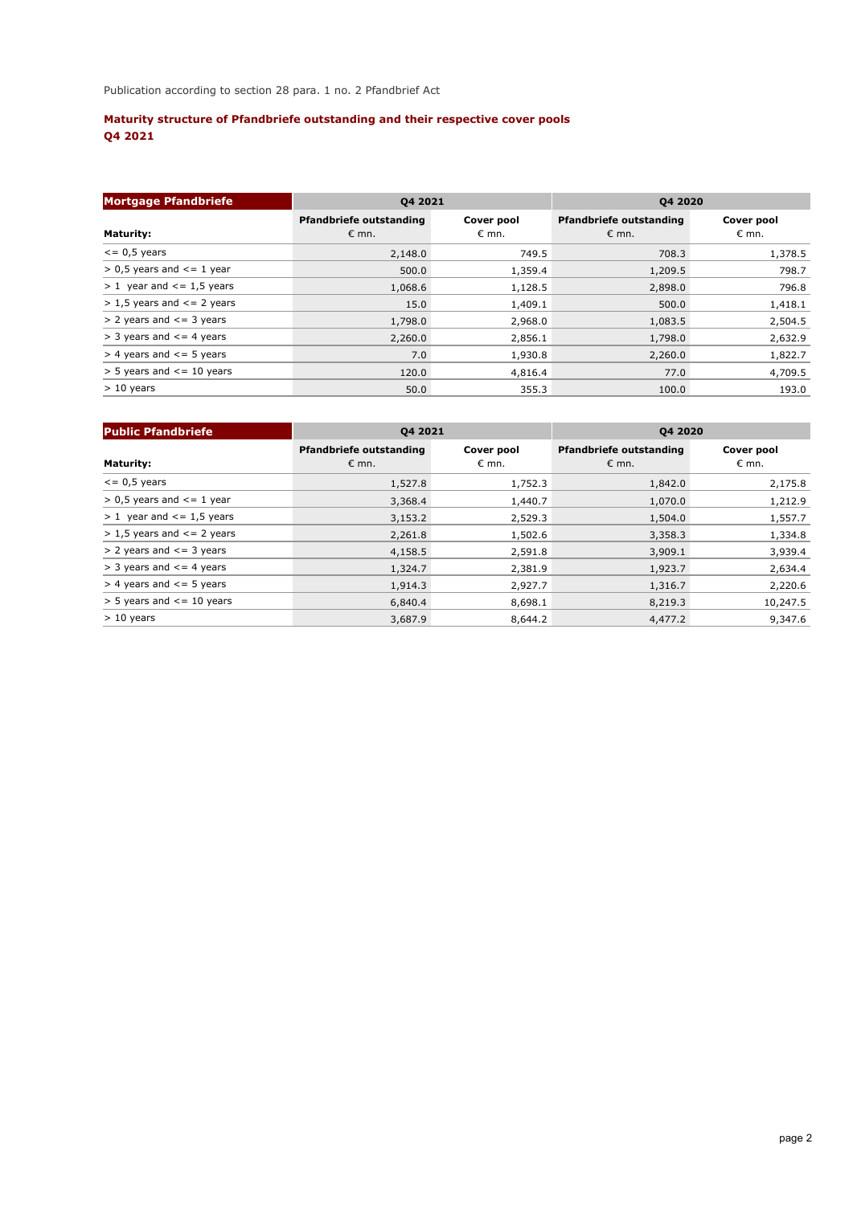# **Maturity structure of Pfandbriefe outstanding and their respective cover pools Q4 2021**

| <b>Mortgage Pfandbriefe</b>      | Q4 2021                                   |                     | <b>Q4 2020</b>                                   |                              |  |  |
|----------------------------------|-------------------------------------------|---------------------|--------------------------------------------------|------------------------------|--|--|
| <b>Maturity:</b>                 | Pfandbriefe outstanding<br>$\epsilon$ mn. | Cover pool<br>€ mn. | <b>Pfandbriefe outstanding</b><br>$\epsilon$ mn. | Cover pool<br>$\epsilon$ mn. |  |  |
| $\epsilon$ = 0,5 years           | 2,148.0                                   | 749.5               | 708.3                                            | 1,378.5                      |  |  |
| $> 0.5$ years and $\leq 1$ year  | 500.0                                     | 1,359.4             | 1,209.5                                          | 798.7                        |  |  |
| $> 1$ year and $\le$ = 1,5 years | 1,068.6                                   | 1,128.5             | 2,898.0                                          | 796.8                        |  |  |
| $> 1.5$ years and $\leq$ 2 years | 15.0                                      | 1,409.1             | 500.0                                            | 1,418.1                      |  |  |
| $> 2$ years and $\le$ = 3 years  | 1,798.0                                   | 2,968.0             | 1,083.5                                          | 2,504.5                      |  |  |
| $>$ 3 years and $\leq$ 4 years   | 2,260.0                                   | 2,856.1             | 1,798.0                                          | 2,632.9                      |  |  |
| $>$ 4 years and $\le$ = 5 years  | 7.0                                       | 1,930.8             | 2,260.0                                          | 1,822.7                      |  |  |
| $>$ 5 years and $\le$ = 10 years | 120.0                                     | 4,816.4             | 77.0                                             | 4,709.5                      |  |  |
| $> 10$ years                     | 50.0                                      | 355.3               | 100.0                                            | 193.0                        |  |  |

| <b>Public Pfandbriefe</b>        | 04 2021                                          |                              | <b>Q4 2020</b>                                   |                              |  |  |
|----------------------------------|--------------------------------------------------|------------------------------|--------------------------------------------------|------------------------------|--|--|
| <b>Maturity:</b>                 | <b>Pfandbriefe outstanding</b><br>$\epsilon$ mn. | Cover pool<br>$\epsilon$ mn. | <b>Pfandbriefe outstanding</b><br>$\epsilon$ mn. | Cover pool<br>$\epsilon$ mn. |  |  |
| $\epsilon$ = 0,5 years           | 1,527.8                                          | 1,752.3                      | 1,842.0                                          | 2,175.8                      |  |  |
| $> 0.5$ years and $\leq 1$ year  | 3,368.4                                          | 1,440.7                      | 1,070.0                                          | 1,212.9                      |  |  |
| $> 1$ year and $<= 1.5$ years    | 3,153.2                                          | 2,529.3                      | 1,504.0                                          | 1,557.7                      |  |  |
| $> 1.5$ years and $\leq$ 2 years | 2,261.8                                          | 1,502.6                      | 3,358.3                                          | 1,334.8                      |  |  |
| $> 2$ years and $\le$ = 3 years  | 4,158.5                                          | 2,591.8                      | 3,909.1                                          | 3,939.4                      |  |  |
| $>$ 3 years and $\leq$ 4 years   | 1,324.7                                          | 2,381.9                      | 1,923.7                                          | 2,634.4                      |  |  |
| $>$ 4 years and $\leq$ 5 years   | 1,914.3                                          | 2,927.7                      | 1,316.7                                          | 2,220.6                      |  |  |
| $>$ 5 years and $\le$ = 10 years | 6,840.4                                          | 8,698.1                      | 8,219.3                                          | 10,247.5                     |  |  |
| $> 10$ years                     | 3,687.9                                          | 8,644.2                      | 4,477.2                                          | 9,347.6                      |  |  |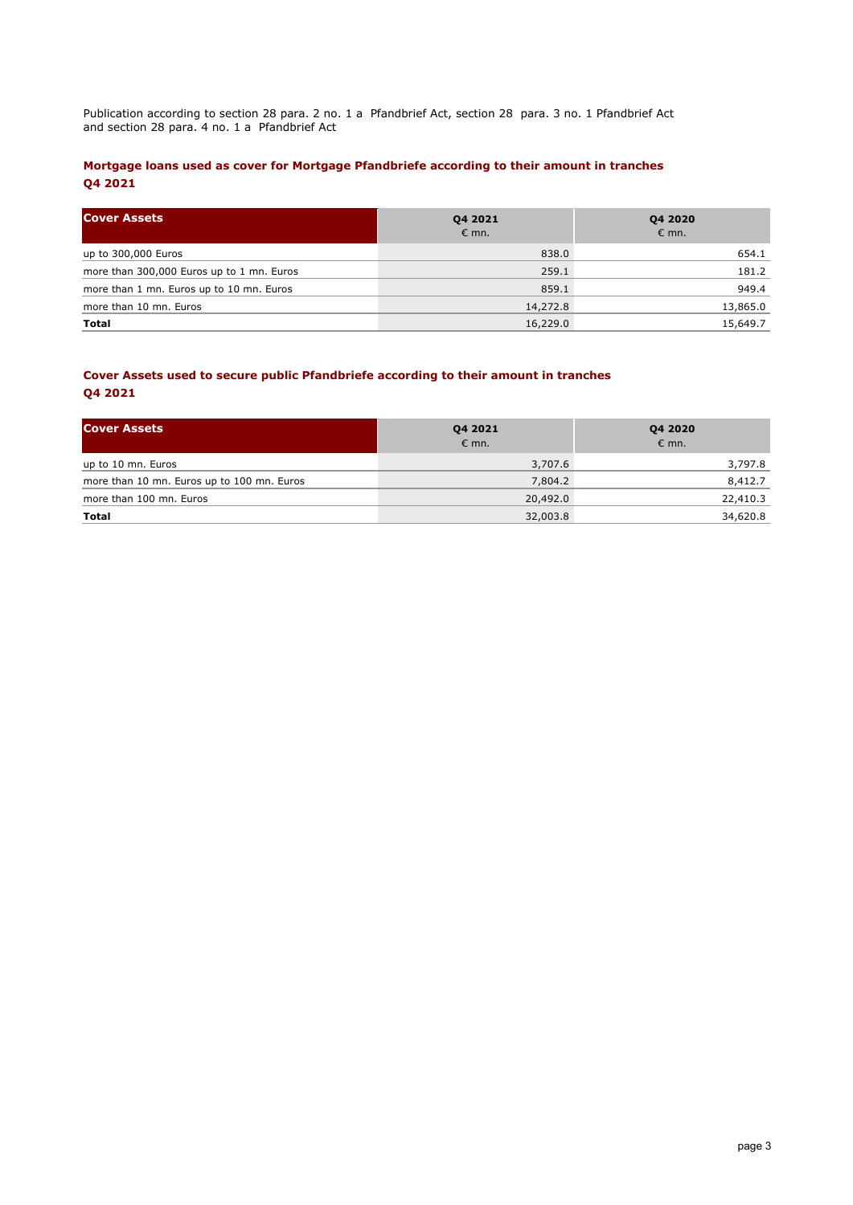Publication according to section 28 para. 2 no. 1 a Pfandbrief Act, section 28 para. 3 no. 1 Pfandbrief Act and section 28 para. 4 no. 1 a Pfandbrief Act

## **Mortgage loans used as cover for Mortgage Pfandbriefe according to their amount in tranches Q4 2021**

| <b>Cover Assets</b>                       | 04 2021<br>$\epsilon$ mn. | <b>Q4 2020</b><br>$\epsilon$ mn. |
|-------------------------------------------|---------------------------|----------------------------------|
| up to 300,000 Euros                       | 838.0                     | 654.1                            |
| more than 300,000 Euros up to 1 mn. Euros | 259.1                     | 181.2                            |
| more than 1 mn. Euros up to 10 mn. Euros  | 859.1                     | 949.4                            |
| more than 10 mn. Euros                    | 14,272.8                  | 13,865.0                         |
| Total                                     | 16,229.0                  | 15,649.7                         |

## **Cover Assets used to secure public Pfandbriefe according to their amount in tranches Q4 2021**

| <b>Cover Assets</b>                        | Q4 2021<br>$\epsilon$ mn. | Q4 2020<br>$\epsilon$ mn. |  |  |
|--------------------------------------------|---------------------------|---------------------------|--|--|
| up to 10 mn. Euros                         | 3,707.6                   | 3,797.8                   |  |  |
| more than 10 mn. Euros up to 100 mn. Euros | 7,804.2                   | 8,412.7                   |  |  |
| more than 100 mn. Euros                    | 20,492.0                  | 22,410.3                  |  |  |
| Total                                      | 32,003.8                  | 34,620.8                  |  |  |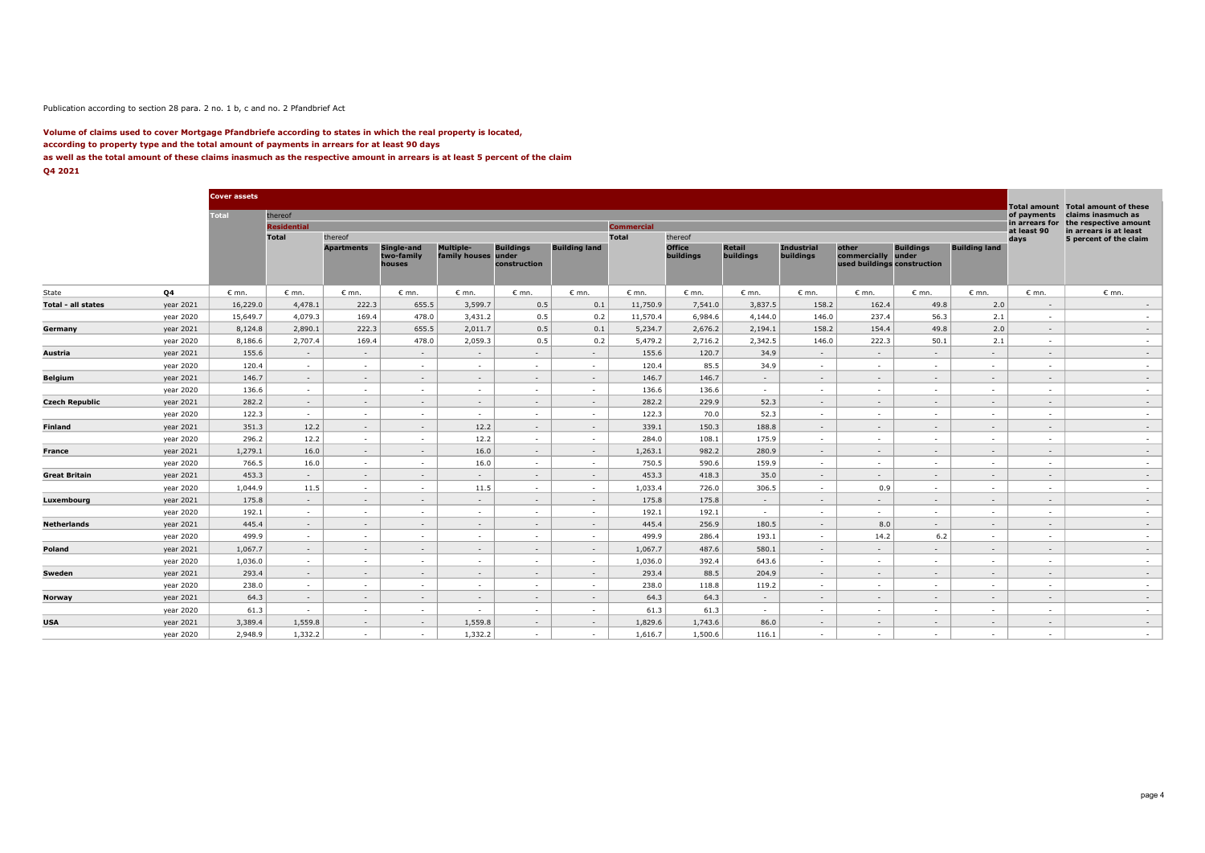#### Publication according to section 28 para. 2 no. 1 b, c and no. 2 Pfandbrief Act

#### **Volume of claims used to cover Mortgage Pfandbriefe according to states in which the real property is located, according to property type and the total amount of payments in arrears for at least 90 days as well as the total amount of these claims inasmuch as the respective amount in arrears is at least 5 percent of the claim Q4 2021**

|                    |           | <b>Cover assets</b> |                    |                   |                                    |                                         |                                  |                      |                   |                            |                     |                                |                                                      |                           |                          |                     |                                                          |
|--------------------|-----------|---------------------|--------------------|-------------------|------------------------------------|-----------------------------------------|----------------------------------|----------------------|-------------------|----------------------------|---------------------|--------------------------------|------------------------------------------------------|---------------------------|--------------------------|---------------------|----------------------------------------------------------|
|                    |           | <b>Total</b>        | thereof            |                   |                                    |                                         |                                  |                      |                   |                            |                     |                                |                                                      |                           |                          | of payments         | Total amount Total amount of these<br>claims inasmuch as |
|                    |           |                     | <b>Residential</b> |                   |                                    |                                         |                                  |                      | <b>Commercial</b> |                            |                     |                                |                                                      |                           |                          | in arrears for      | the respective amount                                    |
|                    |           |                     | <b>Total</b>       | thereof           |                                    |                                         |                                  |                      | <b>Total</b>      | thereof                    |                     |                                |                                                      |                           |                          | at least 90<br>days | in arrears is at least<br>5 percent of the claim         |
|                    |           |                     |                    | <b>Apartments</b> | Single-and<br>two-family<br>houses | <b>Multiple-</b><br>family houses under | <b>Buildings</b><br>construction | <b>Building land</b> |                   | <b>Office</b><br>buildings | Retail<br>buildings | <b>Industrial</b><br>buildings | other<br>commercially<br>used buildings construction | <b>Buildings</b><br>under | <b>Building land</b>     |                     |                                                          |
| State              | Q4        | $\epsilon$ mn.      | $\epsilon$ mn.     | $\epsilon$ mn.    | $\epsilon$ mn.                     | $\epsilon$ mn.                          | $\epsilon$ mn.                   | $\epsilon$ mn.       | $\varepsilon$ mn. | $\epsilon$ mn.             | $\epsilon$ mn.      | $\epsilon$ mn.                 | $\epsilon$ mn.                                       | $\epsilon$ mn.            | $\epsilon$ mn.           | $\epsilon$ mn.      | $\epsilon$ mn.                                           |
| Total - all states | year 2021 | 16,229.0            | 4,478.1            | 222.3             | 655.5                              | 3,599.7                                 | 0.5                              | 0.1                  | 11,750.9          | 7,541.0                    | 3,837.5             | 158.2                          | 162.4                                                | 49.8                      | 2.0                      | $\sim$              | $\sim$                                                   |
|                    | year 2020 | 15,649.7            | 4,079.3            | 169.4             | 478.0                              | 3,431.2                                 | 0.5                              | 0.2                  | 11,570.4          | 6,984.6                    | 4,144.0             | 146.0                          | 237.4                                                | 56.3                      | 2.1                      | $\sim$              | $\sim$                                                   |
| Germany            | year 2021 | 8,124.8             | 2,890.1            | 222.3             | 655.5                              | 2,011.7                                 | 0.5                              | 0.1                  | 5,234.7           | 2,676.2                    | 2,194.1             | 158.2                          | 154.4                                                | 49.8                      | 2.0                      | $\sim$              | $\sim$                                                   |
|                    | year 2020 | 8,186.6             | 2,707.4            | 169.4             | 478.0                              | 2,059.3                                 | 0.5                              | 0.2                  | 5,479.2           | 2,716.2                    | 2,342.5             | 146.0                          | 222.3                                                | 50.1                      | 2.1                      | $\sim$              | $\sim$                                                   |
| Austria            | year 2021 | 155.6               | $\sim$             | $\sim$            | $\sim$                             | $\sim$                                  | $\sim$                           | $\sim$               | 155.6             | 120.7                      | 34.9                | $\sim$                         | $\sim$                                               | $\sim$                    | $\sim$                   | $\sim$              | $\sim$                                                   |
|                    | year 2020 | 120.4               | $\sim$             | <b>COL</b>        | $\sim$                             | . .                                     | $\sim$                           | . п.                 | 120.4             | 85.5                       | 34.9                | <b>A</b>                       | <b>A</b>                                             | . н.                      | $\sim$                   | $\sim$              | <b>All Control</b>                                       |
| Belgium            | year 2021 | 146.7               | $\sim$             | $\sim$            | $\sim$                             | $\sim$                                  | $\sim$                           | $\sim$               | 146.7             | 146.7                      | $\sim$              | $\sim$                         | $\sim$                                               | $\sim$                    | $\overline{\phantom{a}}$ | $\sim$              | $\sim$                                                   |
|                    | year 2020 | 136.6               | <b>A</b>           | <b>COL</b>        | $\sim$                             | . .                                     | $\sim$                           | . п.                 | 136.6             | 136.6                      | $\sim$              | $\sim$                         | <b>A</b>                                             | . н.                      |                          | $\sim$              | $\sim$                                                   |
| Czech Republic     | year 2021 | 282.2               | $\sim$             | $\sim$            | $\sim$                             | $\sim$                                  | $\sim$                           | $\sim$               | 282.2             | 229.9                      | 52.3                | $\sim$                         | $\sim$                                               | $\sim$                    | $\overline{\phantom{a}}$ | $\sim$              | $\sim$                                                   |
|                    | year 2020 | 122.3               | $\sim$             | $\sim$            | $\sim$                             | $\sim$                                  | $\sim$                           | $\sim$               | 122.3             | 70.0                       | 52.3                | $\sim$                         | $\sim$                                               | $\sim$                    | $\sim$                   | $\sim$              | $\sim$                                                   |
| Finland            | year 2021 | 351.3               | 12.2               | $\sim$            | $\sim$                             | 12.2                                    | $\sim$                           | $\sim$               | 339.1             | 150.3                      | 188.8               | $\sim$                         | $\sim$                                               | $\sim$                    | $\sim$                   | $\sim$              | $\sim$                                                   |
|                    | year 2020 | 296.2               | 12.2               | $\sim$            | $\sim$                             | 12.2                                    | $\sim$                           | $\sim$               | 284.0             | 108.1                      | 175.9               | $\sim$                         | $\sim$                                               | $\sim$                    | $\sim$                   | $\sim$              | $\sim$                                                   |
| France             | year 2021 | 1,279.1             | 16.0               | $\sim$            | $\sim$                             | 16.0                                    | $\sim$                           | $\sim$               | 1,263.1           | 982.2                      | 280.9               | $\sim$                         | $\sim$                                               | $\sim$                    | $\sim$                   | $\sim$              | $\sim$                                                   |
|                    | year 2020 | 766.5               | 16.0               | $\sim$            | $\sim$                             | 16.0                                    | $\sim$                           | $\sim$               | 750.5             | 590.6                      | 159.9               | $\sim$                         | $\sim$                                               | $\sim$                    | $\sim$                   | ٠                   | $\sim$                                                   |
| Great Britain      | year 2021 | 453.3               | $\sim$             | $\sim$            | $\sim$                             | $\sim$                                  | $\sim$                           | $\sim$               | 453.3             | 418.3                      | 35.0                | $\sim$                         | $\sim$                                               | $\sim$                    | $\sim$                   | $\sim$              | $\sim$                                                   |
|                    | year 2020 | 1,044.9             | 11.5               | $\sim$            | $\sim$                             | 11.5                                    | $\sim$                           | $\sim$               | 1,033.4           | 726.0                      | 306.5               | $\sim$                         | 0.9                                                  | $\sim$                    | $\sim$                   | $\sim$              | $\sim$                                                   |
| Luxembourg         | year 2021 | 175.8               | $\sim$             | $\sim$            | $\sim$                             | $\sim$                                  | $\sim$                           | $\sim$               | 175.8             | 175.8                      | $\sim$              | $\sim$                         | $\sim$                                               | $\sim$                    | $\sim$                   | $\sim$              | $\sim$                                                   |
|                    | year 2020 | 192.1               | $\sim$             | $\sim$            | $\sim$                             | $\sim$                                  | $\sim$                           | $\sim$               | 192.1             | 192.1                      | $\sim$              | $\sim$                         | $\sim$                                               | $\sim$                    | $\sim$                   | $\sim$              | $\sim$                                                   |
| Netherlands        | year 2021 | 445.4               | $\sim$             | $\sim$            | $\sim$                             | $\sim$                                  | $\sim$                           | $\sim$               | 445.4             | 256.9                      | 180.5               | $\sim$                         | 8.0                                                  | $\sim$                    | $\overline{\phantom{a}}$ | $\sim$              | $\sim$                                                   |
|                    | year 2020 | 499.9               | $\sim$             | $\sim$            | $\sim$                             | $\sim$                                  | $\sim$                           | $\sim$               | 499.9             | 286.4                      | 193.1               | $\sim$                         | 14.2                                                 | 6.2                       | $\sim$                   | $\sim$              | $\sim$                                                   |
| Poland             | year 2021 | 1,067.7             | $\sim$             | $\sim$            | $\sim$                             | $\sim$                                  | $\sim$                           | $\sim$               | 1,067.7           | 487.6                      | 580.1               | $\sim$                         | $\sim$                                               | $\sim$                    | $\overline{\phantom{a}}$ | $\sim$              | $\sim$                                                   |
|                    | year 2020 | 1,036.0             | $\sim$             | $\sim$            | $\sim$                             | $\sim$                                  | $\sim$                           | $\sim$               | 1,036.0           | 392.4                      | 643.6               | $\sim$                         | $\sim$                                               | $\sim$                    | $\sim$                   | $\sim$              | $\sim$                                                   |
| Sweden             | year 2021 | 293.4               | $\sim$             | $\sim$            | $\sim$                             | $\sim$                                  | $\sim$                           | $\sim$               | 293.4             | 88.5                       | 204.9               | $\sim$                         | $\sim$                                               | $\sim$                    | $\sim$                   | $\sim$              | $\sim$                                                   |
|                    | year 2020 | 238.0               | $\sim$             | $\sim$            | $\sim$                             | $\sim$                                  | <b>A</b>                         | $\sim$               | 238.0             | 118.8                      | 119.2               | $\sim$                         | $\sim$                                               | $\sim$                    | $\sim$                   | ٠                   | $\sim$                                                   |
| Norway             | year 2021 | 64.3                | $\sim$             | $\sim$            | $\sim$                             | $\sim$                                  | $\sim$                           | $\sim$               | 64.3              | 64.3                       | $\sim$              | $\sim$                         | $\sim$                                               | $\sim$                    | $\sim$                   | $\sim$              | $\sim$                                                   |
|                    | year 2020 | 61.3                | $\sim$             | $\sim$            | $\sim$                             | $\sim$                                  | $\sim$                           | $\sim$               | 61.3              | 61.3                       | $\sim$              | $\sim$                         | $\sim$                                               | $\sim$                    | $\sim$                   | ٠                   | $\sim$                                                   |
| <b>USA</b>         | year 2021 | 3,389.4             | 1,559.8            | $\sim$            | $\sim$                             | 1,559.8                                 | $\sim$                           | $\sim$               | 1,829.6           | 1,743.6                    | 86.0                | $\sim$                         | $\sim$                                               | $\sim$                    | $\sim$                   | $\sim$              | $\sim$                                                   |
|                    | year 2020 | 2,948.9             | 1,332.2            | $\sim$            | $\sim$                             | 1,332.2                                 | $\sim$                           | $\sim$               | 1,616.7           | 1,500.6                    | 116.1               | $\sim$                         | $\sim$                                               | $\sim$                    | $\sim$                   | $\sim$              | $\sim$                                                   |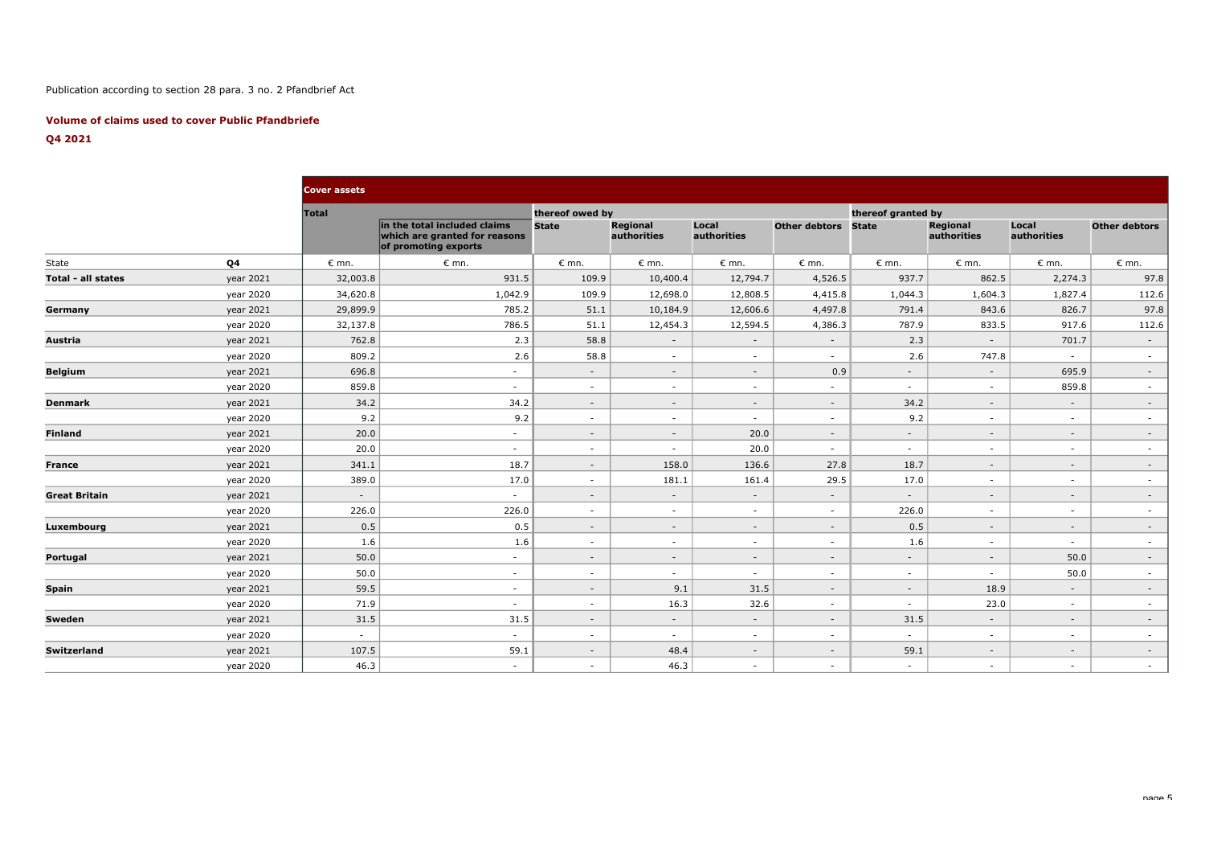## Publication according to section 28 para. 3 no. 2 Pfandbrief Act

### **Volume of claims used to cover Public Pfandbriefe**

## **Q4 2021**

|                           |           | <b>Cover assets</b> |                                                                                       |                 |                                |                      |                      |                    |                         |                          |                      |
|---------------------------|-----------|---------------------|---------------------------------------------------------------------------------------|-----------------|--------------------------------|----------------------|----------------------|--------------------|-------------------------|--------------------------|----------------------|
|                           |           | <b>Total</b>        |                                                                                       | thereof owed by |                                |                      |                      | thereof granted by |                         |                          |                      |
|                           |           |                     | in the total included claims<br>which are granted for reasons<br>of promoting exports | <b>State</b>    | <b>Regional</b><br>authorities | Local<br>authorities | <b>Other debtors</b> | <b>State</b>       | Regional<br>authorities | Local<br>authorities     | <b>Other debtors</b> |
| State                     | Q4        | $\epsilon$ mn.      | $\epsilon$ mn.                                                                        | $\epsilon$ mn.  | $\epsilon$ mn.                 | $\epsilon$ mn.       | $\epsilon$ mn.       | $\epsilon$ mn.     | $\epsilon$ mn.          | $\epsilon$ mn.           | $\epsilon$ mn.       |
| <b>Total - all states</b> | year 2021 | 32,003.8            | 931.5                                                                                 | 109.9           | 10,400.4                       | 12,794.7             | 4,526.5              | 937.7              | 862.5                   | 2,274.3                  | 97.8                 |
|                           | year 2020 | 34,620.8            | 1,042.9                                                                               | 109.9           | 12,698.0                       | 12,808.5             | 4,415.8              | 1,044.3            | 1,604.3                 | 1,827.4                  | 112.6                |
| Germany                   | year 2021 | 29,899.9            | 785.2                                                                                 | 51.1            | 10,184.9                       | 12,606.6             | 4,497.8              | 791.4              | 843.6                   | 826.7                    | 97.8                 |
|                           | year 2020 | 32,137.8            | 786.5                                                                                 | 51.1            | 12,454.3                       | 12,594.5             | 4,386.3              | 787.9              | 833.5                   | 917.6                    | 112.6                |
| Austria                   | year 2021 | 762.8               | 2.3                                                                                   | 58.8            | $\sim$                         | $\sim$               | $\sim$               | 2.3                | $\sim$ $-$              | 701.7                    | $\sim$               |
|                           | year 2020 | 809.2               | 2.6                                                                                   | 58.8            | $\sim$                         | $\sim$               | $\sim$               | 2.6                | 747.8                   | $\sim$                   | $\sim$               |
| <b>Belgium</b>            | year 2021 | 696.8               | $\sim$                                                                                | $\sim$          | $\sim$                         | $\sim$               | 0.9                  | $\sim$             | $\sim$                  | 695.9                    | $\sim$               |
|                           | year 2020 | 859.8               | $\sim$                                                                                | $\sim$          | $\sim$                         | $\sim$               | $\sim$               | $\sim$             | $\sim$                  | 859.8                    | $\sim$               |
| <b>Denmark</b>            | year 2021 | 34.2                | 34.2                                                                                  | $\sim$          | $\sim$                         | $\sim$               | $\sim$               | 34.2               | $\sim$                  | $\overline{\phantom{a}}$ | $\sim$               |
|                           | year 2020 | 9.2                 | 9.2                                                                                   | $\sim$          | $\sim$                         | $\sim$               | $\sim$               | 9.2                | $\sim$                  | $\sim$                   | $\sim$               |
| <b>Finland</b>            | year 2021 | 20.0                | $\sim$                                                                                | $\sim$          | $\sim$                         | 20.0                 | $\sim$               | $\sim$             | $\sim$                  | $\sim$                   | $\sim$               |
|                           | year 2020 | 20.0                | $\sim$                                                                                | $\sim$          | $\sim$                         | 20.0                 | $\sim$               | $\sim$             | $\sim$                  | $\overline{\phantom{a}}$ | $\sim$               |
| <b>France</b>             | year 2021 | 341.1               | 18.7                                                                                  | $\sim$          | 158.0                          | 136.6                | 27.8                 | 18.7               | $\sim$                  | $\sim$                   | $\sim$               |
|                           | year 2020 | 389.0               | 17.0                                                                                  | $\sim$          | 181.1                          | 161.4                | 29.5                 | 17.0               | $\sim$                  | $\sim$                   | $\sim$               |
| <b>Great Britain</b>      | year 2021 | $\sim$              | $\sim$                                                                                | $\sim$          | $\sim$                         | $\sim$               | $\sim$               | $\sim$             | $\sim$                  | $\sim$                   | $\sim$               |
|                           | year 2020 | 226.0               | 226.0                                                                                 | $\sim$          | $\sim$                         | $\sim$               | $\sim$               | 226.0              | $\sim$                  | $\sim$                   | $\sim$               |
| Luxembourg                | year 2021 | 0.5                 | 0.5                                                                                   | $\sim$          | $\sim$                         | $\sim$               | $\sim$               | 0.5                | $\sim$                  | $\sim$                   | $\sim$               |
|                           | year 2020 | 1.6                 | 1.6                                                                                   | $\sim$          | $\sim$                         | $\sim$               | $\sim$               | 1.6                | $\sim$                  | $\sim$                   | $\sim$               |
| Portugal                  | year 2021 | 50.0                | $\sim$                                                                                | $\sim$          | $\sim$                         | $\sim$               | $\sim$               | $\sim$             | $\sim$                  | 50.0                     | $\sim$               |
|                           | year 2020 | 50.0                | $\sim$                                                                                | $\sim$          | $\sim$                         | $\sim$               | $\sim$               | $\sim$             | $\sim$                  | 50.0                     | $\sim$               |
| <b>Spain</b>              | year 2021 | 59.5                | $\sim$                                                                                | $\sim$          | 9.1                            | 31.5                 | $\sim$               | $\sim$             | 18.9                    | $\sim$                   | $\sim$               |
|                           | year 2020 | 71.9                | $\sim$                                                                                | $\sim$          | 16.3                           | 32.6                 | $\sim$               | $\sim$             | 23.0                    | $\sim$                   | $\sim$               |
| Sweden                    | year 2021 | 31.5                | 31.5                                                                                  | $\sim$          | $\sim$                         | $\sim$               | $\sim$               | 31.5               | $\sim$                  | $\sim$                   | $\sim$               |
|                           | year 2020 | $\sim$              | $\sim$                                                                                | $\sim$          | $\sim$                         | $\sim$               | $\sim$               | $\sim$             | $\sim$                  | $\sim$                   | $\sim$               |
| <b>Switzerland</b>        | year 2021 | 107.5               | 59.1                                                                                  | $\sim$          | 48.4                           | $\sim$               | $\sim$               | 59.1               | $\sim$                  | $\overline{a}$           | $\sim$               |
|                           | year 2020 | 46.3                | $\sim$                                                                                | $\sim$          | 46.3                           | $\sim$               | $\sim$               | $\sim$             | $\sim$                  | $\sim$                   | $\sim$               |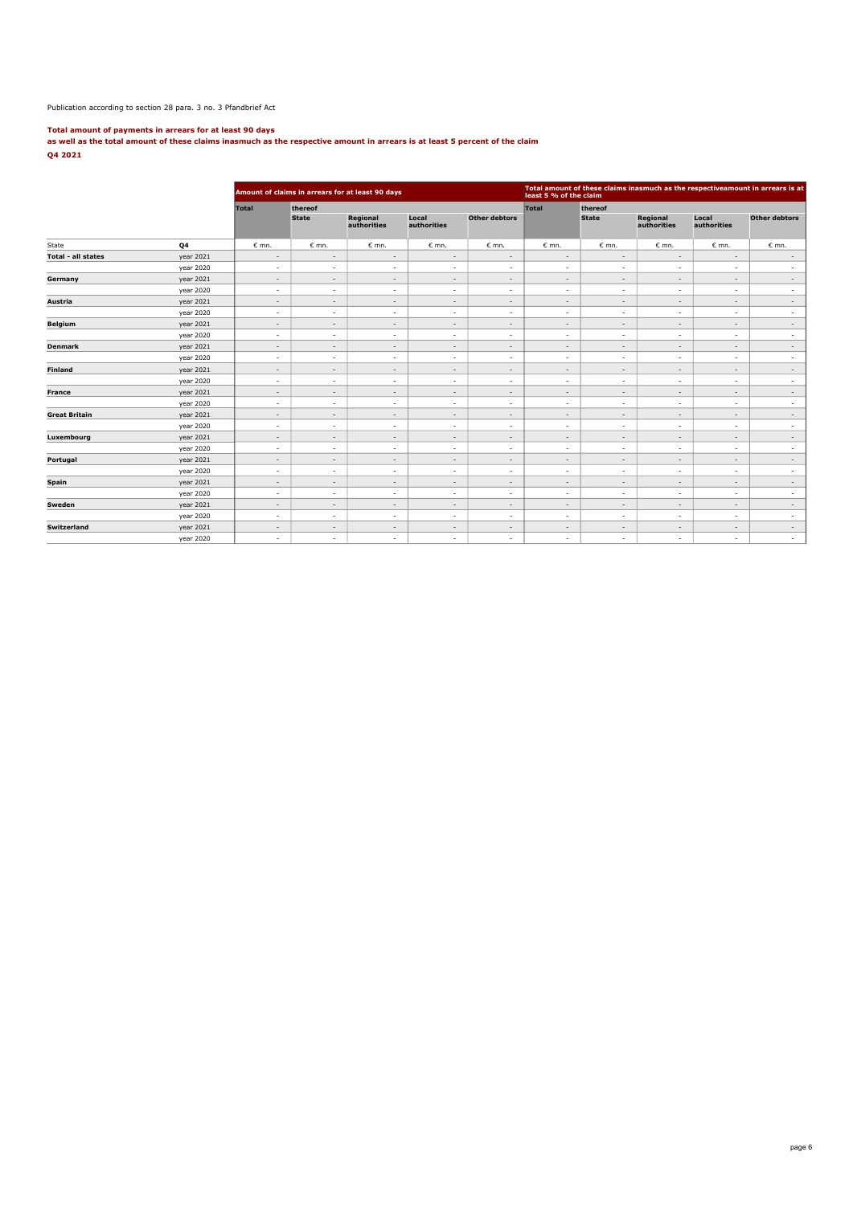#### Publication according to section 28 para. 3 no. 3 Pfandbrief Act

**Total amount of payments in arrears for at least 90 days as well as the total amount of these claims inasmuch as the respective amount in arrears is at least 5 percent of the claim Q4 2021**

|                           |                |                          |                          | Amount of claims in arrears for at least 90 days |                          | Total amount of these claims inasmuch as the respectiveamount in arrears is at<br>least 5 % of the claim |                          |                          |                          |                          |                          |
|---------------------------|----------------|--------------------------|--------------------------|--------------------------------------------------|--------------------------|----------------------------------------------------------------------------------------------------------|--------------------------|--------------------------|--------------------------|--------------------------|--------------------------|
|                           |                | <b>Total</b>             | thereof                  |                                                  |                          |                                                                                                          | Total                    | thereof                  |                          |                          |                          |
|                           |                |                          | <b>State</b>             | Regional<br>authorities                          | Local<br>authorities     | <b>Other debtors</b>                                                                                     |                          | <b>State</b>             | Regional<br>authorities  | Local<br>authorities     | <b>Other debtors</b>     |
| State                     | Q <sub>4</sub> | $\epsilon$ mn.           | $\epsilon$ mn.           | $\epsilon$ mn.                                   | $\epsilon$ mn.           | $\epsilon$ mn.                                                                                           | $\epsilon$ mn.           | $\epsilon$ mn.           | $\epsilon$ mn.           | $\varepsilon$ mn.        | $\epsilon$ mn.           |
| <b>Total - all states</b> | year 2021      | $\overline{\phantom{a}}$ | $\overline{\phantom{a}}$ | $\overline{\phantom{a}}$                         | $\overline{\phantom{a}}$ | $\overline{\phantom{a}}$                                                                                 | $\overline{\phantom{a}}$ | $\overline{\phantom{a}}$ | $\sim$                   | $\sim$                   | $\sim$                   |
|                           | year 2020      | $\sim$                   | $\sim$                   | $\sim$                                           | $\sim$                   | ٠                                                                                                        | $\overline{\phantom{a}}$ | $\sim$                   | $\sim$                   | ٠                        | $\overline{\phantom{a}}$ |
| Germany                   | year 2021      | $\overline{\phantom{a}}$ | $\sim$                   | $\overline{\phantom{a}}$                         | $\overline{\phantom{a}}$ | $\overline{\phantom{a}}$                                                                                 | $\overline{\phantom{a}}$ | $\overline{\phantom{a}}$ | $\overline{\phantom{a}}$ | $\overline{\phantom{a}}$ | $\overline{\phantom{a}}$ |
|                           | year 2020      | $\sim$                   | $\sim$                   | $\sim$                                           | $\sim$                   | $\overline{\phantom{a}}$                                                                                 | $\sim$                   | $\overline{\phantom{a}}$ | $\sim$                   | $\overline{\phantom{a}}$ | $\sim$                   |
| Austria                   | year 2021      | $\sim$                   | $\sim$                   | $\sim$                                           | $\overline{\phantom{a}}$ | $\overline{\phantom{a}}$                                                                                 | $\overline{\phantom{a}}$ | $\overline{\phantom{a}}$ | $\sim$                   | $\overline{\phantom{a}}$ | $\sim$                   |
|                           | year 2020      | $\sim$                   | $\overline{\phantom{a}}$ | $\sim$                                           | $\overline{\phantom{a}}$ | ٠                                                                                                        | $\sim$                   | $\overline{\phantom{a}}$ | $\sim$                   | ٠                        | $\sim$                   |
| <b>Belgium</b>            | year 2021      | $\sim$                   | $\sim$                   | $\sim$                                           | $\overline{\phantom{a}}$ | $\overline{\phantom{a}}$                                                                                 | $\sim$                   | $\overline{\phantom{a}}$ | $\sim$                   | $\overline{\phantom{a}}$ | $\sim$                   |
|                           | year 2020      | $\sim$                   | $\overline{\phantom{a}}$ | $\sim$                                           | $\sim$                   | $\overline{\phantom{a}}$                                                                                 | $\sim$                   | $\overline{\phantom{a}}$ | $\sim$                   | ٠                        | $\sim$                   |
| <b>Denmark</b>            | year 2021      | $\overline{\phantom{a}}$ | $\sim$                   | $\sim$                                           | $\overline{\phantom{a}}$ | $\overline{\phantom{a}}$                                                                                 | $\overline{\phantom{a}}$ | $\overline{\phantom{a}}$ | $\overline{\phantom{a}}$ | $\overline{\phantom{a}}$ | $\overline{\phantom{a}}$ |
|                           | year 2020      | $\sim$                   | $\sim$                   | $\sim$                                           | $\sim$                   | $\overline{\phantom{a}}$                                                                                 | $\sim$                   | $\overline{\phantom{a}}$ | $\sim$                   | $\overline{\phantom{a}}$ | $\sim$                   |
| <b>Finland</b>            | year 2021      | $\sim$                   | $\overline{\phantom{a}}$ | $\overline{\phantom{a}}$                         | $\overline{\phantom{a}}$ | $\overline{\phantom{a}}$                                                                                 | $\overline{\phantom{a}}$ | $\overline{\phantom{a}}$ | $\overline{\phantom{a}}$ | $\overline{\phantom{a}}$ | $\sim$                   |
|                           | year 2020      | $\sim$                   | $\overline{\phantom{a}}$ | $\sim$                                           | $\overline{\phantom{a}}$ | ٠                                                                                                        | $\sim$                   | $\sim$                   | $\sim$                   | ٠                        | $\overline{\phantom{a}}$ |
| <b>France</b>             | year 2021      | $\sim$                   | $\sim$                   | $\sim$                                           | $\sim$                   | $\overline{\phantom{a}}$                                                                                 | $\overline{\phantom{a}}$ | $\overline{\phantom{a}}$ | $\sim$                   | $\overline{\phantom{a}}$ | $\sim$                   |
|                           | year 2020      | $\sim$                   | $\overline{\phantom{a}}$ | $\sim$                                           | $\overline{\phantom{a}}$ | $\overline{\phantom{a}}$                                                                                 | $\overline{\phantom{a}}$ | $\overline{\phantom{a}}$ | $\overline{\phantom{a}}$ | $\overline{\phantom{a}}$ | $\sim$                   |
| <b>Great Britain</b>      | year 2021      | $\sim$                   | $\overline{\phantom{a}}$ | $\sim$                                           | $\overline{\phantom{a}}$ | $\overline{\phantom{a}}$                                                                                 | $\overline{\phantom{a}}$ | $\overline{\phantom{a}}$ | $\sim$                   | $\overline{\phantom{a}}$ | $\sim$                   |
|                           | year 2020      | $\sim$                   | $\sim$                   | $\sim$                                           | $\sim$                   | $\overline{\phantom{a}}$                                                                                 | $\sim$                   | $\sim$                   | $\sim$                   | $\overline{\phantom{a}}$ | $\sim$                   |
| Luxembourg                | year 2021      | $\sim$                   | $\overline{\phantom{a}}$ | $\overline{\phantom{a}}$                         | $\overline{\phantom{a}}$ | $\overline{\phantom{0}}$                                                                                 | $\overline{\phantom{a}}$ | $\overline{\phantom{a}}$ | $\overline{\phantom{a}}$ | $\overline{\phantom{a}}$ | $\sim$                   |
|                           | year 2020      | $\overline{\phantom{a}}$ | $\overline{\phantom{a}}$ | $\sim$                                           | $\overline{\phantom{a}}$ | $\overline{\phantom{0}}$                                                                                 | $\overline{\phantom{a}}$ | $\overline{\phantom{a}}$ | $\overline{\phantom{a}}$ | $\overline{\phantom{a}}$ | $\sim$                   |
| Portugal                  | year 2021      | $\overline{\phantom{a}}$ | $\overline{\phantom{a}}$ | $\sim$                                           | $\overline{\phantom{a}}$ | $\overline{\phantom{a}}$                                                                                 | $\sim$                   | $\overline{\phantom{a}}$ | $\sim$                   | $\overline{\phantom{a}}$ | $\sim$                   |
|                           | year 2020      | $\sim$                   | $\sim$                   | $\sim$                                           | $\overline{\phantom{a}}$ | ٠                                                                                                        | $\sim$                   | $\overline{\phantom{a}}$ | $\sim$                   | $\overline{\phantom{a}}$ | $\overline{\phantom{a}}$ |
| Spain                     | year 2021      | $\overline{\phantom{a}}$ | $\overline{\phantom{a}}$ | $\overline{\phantom{a}}$                         | $\overline{\phantom{a}}$ | $\overline{\phantom{a}}$                                                                                 | $\overline{\phantom{a}}$ | $\overline{\phantom{a}}$ | $\overline{\phantom{a}}$ | $\overline{\phantom{a}}$ | $\sim$                   |
|                           | year 2020      | $\sim$                   | $\sim$                   | $\sim$                                           | $\sim$                   | $\overline{\phantom{a}}$                                                                                 | $\sim$                   | $\sim$                   | $\sim$                   | $\overline{\phantom{a}}$ | $\sim$                   |
| Sweden                    | year 2021      | $\sim$                   | $\overline{\phantom{a}}$ | $\sim$                                           | $\overline{\phantom{a}}$ | $\overline{\phantom{a}}$                                                                                 | $\overline{\phantom{a}}$ | $\overline{\phantom{a}}$ | $\sim$                   | $\overline{\phantom{a}}$ | $\sim$                   |
|                           | year 2020      | $\overline{\phantom{a}}$ | $\overline{\phantom{a}}$ | $\overline{\phantom{a}}$                         | $\sim$                   | ٠                                                                                                        | $\sim$                   | $\sim$                   | $\sim$                   |                          | $\sim$                   |
| <b>Switzerland</b>        | year 2021      | $\sim$                   | $\overline{\phantom{a}}$ | $\sim$                                           | $\overline{\phantom{a}}$ | $\overline{\phantom{a}}$                                                                                 | $\sim$                   | $\overline{\phantom{a}}$ | $\sim$                   | $\overline{\phantom{a}}$ | $\sim$                   |
|                           | year 2020      | $\overline{\phantom{a}}$ | $\overline{\phantom{a}}$ | $\sim$                                           | $\overline{\phantom{a}}$ | $\overline{\phantom{a}}$                                                                                 | $\sim$                   | $\sim$                   | $\overline{\phantom{a}}$ | $\overline{\phantom{a}}$ | $\sim$                   |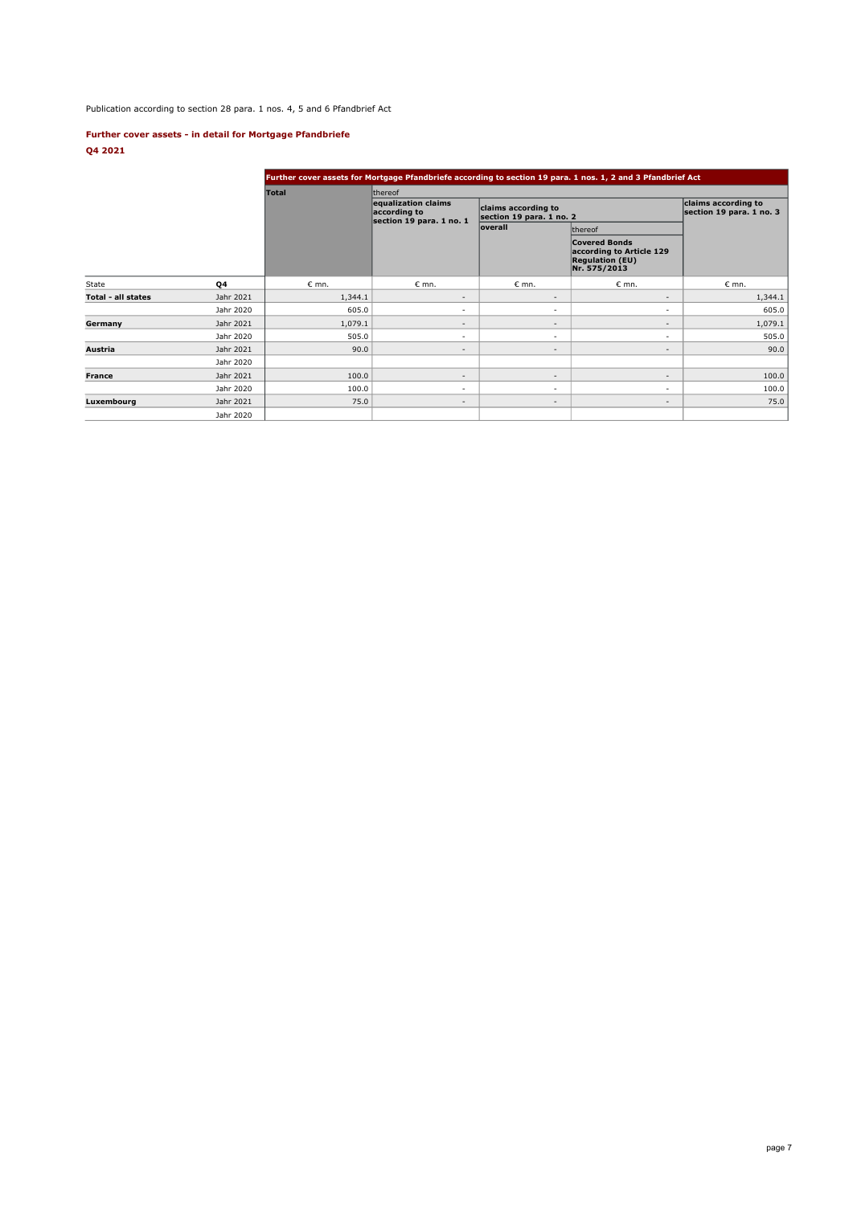Publication according to section 28 para. 1 nos. 4, 5 and 6 Pfandbrief Act

## **Further cover assets - in detail for Mortgage Pfandbriefe Q4 2021**

|                           |           |                |                                                                 |                                                 | Further cover assets for Mortgage Pfandbriefe according to section 19 para. 1 nos. 1, 2 and 3 Pfandbrief Act |                                                 |  |
|---------------------------|-----------|----------------|-----------------------------------------------------------------|-------------------------------------------------|--------------------------------------------------------------------------------------------------------------|-------------------------------------------------|--|
|                           |           | <b>Total</b>   | thereof                                                         |                                                 |                                                                                                              |                                                 |  |
|                           |           |                | equalization claims<br>according to<br>section 19 para. 1 no. 1 | claims according to<br>section 19 para. 1 no. 2 |                                                                                                              | claims according to<br>section 19 para. 1 no. 3 |  |
|                           |           |                |                                                                 | <b>loverall</b>                                 | thereof                                                                                                      |                                                 |  |
|                           |           |                |                                                                 |                                                 | <b>Covered Bonds</b><br>according to Article 129<br><b>Regulation (EU)</b><br>Nr. 575/2013                   |                                                 |  |
| State                     | <b>Q4</b> | $\epsilon$ mn. | $\varepsilon$ mn.                                               | $\epsilon$ mn.                                  | $\epsilon$ mn.                                                                                               | $\epsilon$ mn.                                  |  |
| <b>Total - all states</b> | Jahr 2021 | 1,344.1        | $\overline{\phantom{a}}$                                        | $\overline{\phantom{a}}$                        | $\overline{\phantom{a}}$                                                                                     | 1,344.1                                         |  |
|                           | Jahr 2020 | 605.0          | ٠                                                               | $\overline{\phantom{a}}$                        | $\sim$                                                                                                       | 605.0                                           |  |
| Germany                   | Jahr 2021 | 1,079.1        | $\overline{\phantom{a}}$                                        | $\overline{\phantom{a}}$                        | $\overline{\phantom{a}}$                                                                                     | 1,079.1                                         |  |
|                           | Jahr 2020 | 505.0          | $\overline{\phantom{a}}$                                        | $\sim$                                          | $\sim$                                                                                                       | 505.0                                           |  |
| Austria                   | Jahr 2021 | 90.0           | $\overline{\phantom{a}}$                                        | $\overline{\phantom{a}}$                        | $\overline{\phantom{a}}$                                                                                     | 90.0                                            |  |
|                           | Jahr 2020 |                |                                                                 |                                                 |                                                                                                              |                                                 |  |
| <b>France</b>             | Jahr 2021 | 100.0          | $\overline{\phantom{a}}$                                        | $\overline{\phantom{a}}$                        | $\overline{\phantom{a}}$                                                                                     | 100.0                                           |  |
|                           | Jahr 2020 | 100.0          | $\overline{\phantom{a}}$                                        | $\sim$                                          | $\sim$                                                                                                       | 100.0                                           |  |
| Luxembourg                | Jahr 2021 | 75.0           | $\overline{\phantom{a}}$                                        | $\overline{\phantom{a}}$                        | $\overline{\phantom{a}}$                                                                                     | 75.0                                            |  |
|                           | Jahr 2020 |                |                                                                 |                                                 |                                                                                                              |                                                 |  |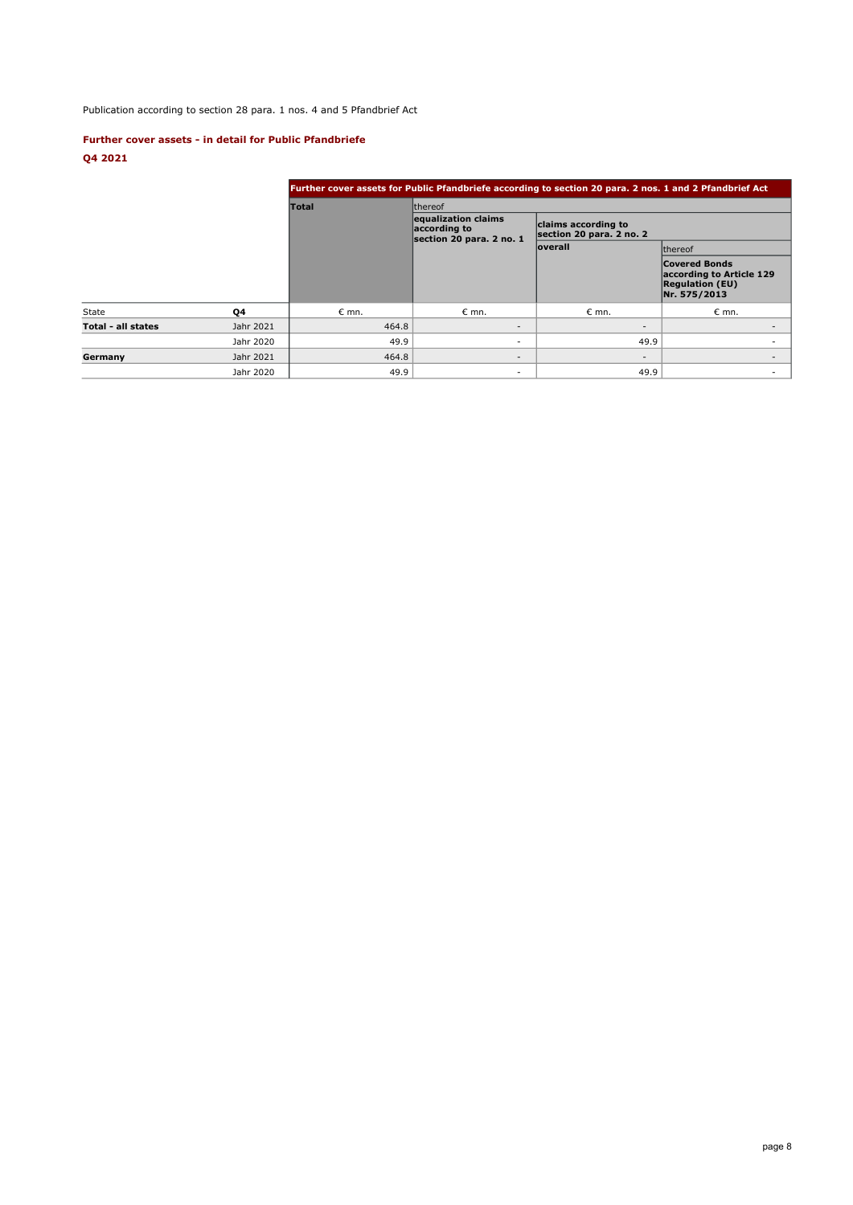# Publication according to section 28 para. 1 nos. 4 and 5 Pfandbrief Act

## **Further cover assets - in detail for Public Pfandbriefe**

# **Q4 2021**

|                    |           | Further cover assets for Public Pfandbriefe according to section 20 para. 2 nos. 1 and 2 Pfandbrief Act |                                                                 |                                                 |                                                                                            |  |  |  |  |  |
|--------------------|-----------|---------------------------------------------------------------------------------------------------------|-----------------------------------------------------------------|-------------------------------------------------|--------------------------------------------------------------------------------------------|--|--|--|--|--|
|                    |           | <b>Total</b>                                                                                            | <b>Ithereof</b>                                                 |                                                 |                                                                                            |  |  |  |  |  |
|                    |           |                                                                                                         | equalization claims<br>according to<br>section 20 para. 2 no. 1 | claims according to<br>section 20 para. 2 no. 2 |                                                                                            |  |  |  |  |  |
|                    |           |                                                                                                         |                                                                 | <b>loverall</b>                                 | <b>Ithereof</b>                                                                            |  |  |  |  |  |
|                    |           |                                                                                                         |                                                                 |                                                 | <b>Covered Bonds</b><br>according to Article 129<br><b>Regulation (EU)</b><br>Nr. 575/2013 |  |  |  |  |  |
| State              | Q4        | $\epsilon$ mn.                                                                                          | $\epsilon$ mn.                                                  | $\epsilon$ mn.                                  | $\epsilon$ mn.                                                                             |  |  |  |  |  |
| Total - all states | Jahr 2021 | 464.8                                                                                                   | $\sim$                                                          | $\overline{\phantom{a}}$                        |                                                                                            |  |  |  |  |  |
|                    | Jahr 2020 | 49.9                                                                                                    | ÷.                                                              | 49.9                                            |                                                                                            |  |  |  |  |  |
| Germany            | Jahr 2021 | 464.8                                                                                                   | $\overline{\phantom{a}}$                                        | $\overline{\phantom{a}}$                        | $\overline{\phantom{a}}$                                                                   |  |  |  |  |  |
|                    | Jahr 2020 | 49.9                                                                                                    |                                                                 | 49.9                                            | $\overline{\phantom{a}}$                                                                   |  |  |  |  |  |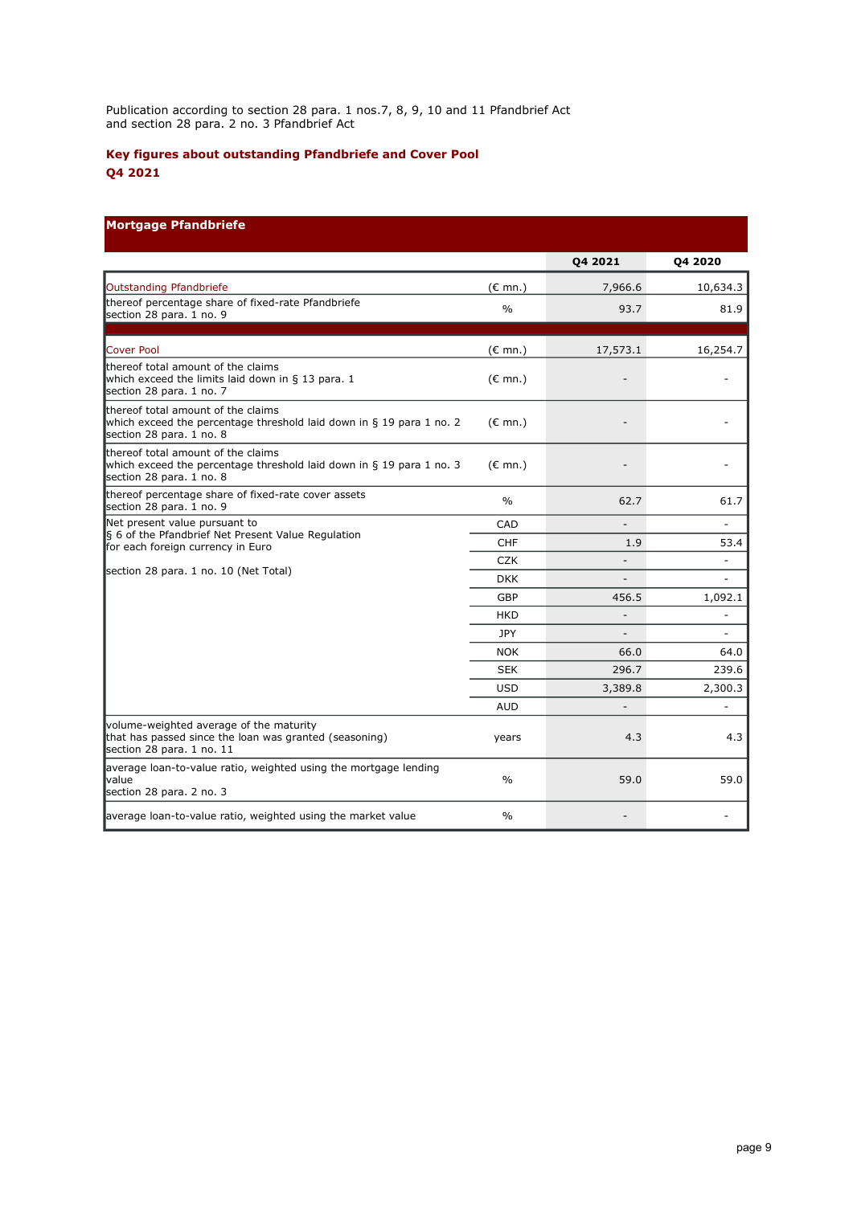Publication according to section 28 para. 1 nos.7, 8, 9, 10 and 11 Pfandbrief Act and section 28 para. 2 no. 3 Pfandbrief Act

# **Key figures about outstanding Pfandbriefe and Cover Pool Q4 2021**

# **Mortgage Pfandbriefe**

|                                                                                                                                        |                   | 04 2021        | <b>Q4 2020</b>           |
|----------------------------------------------------------------------------------------------------------------------------------------|-------------------|----------------|--------------------------|
| Outstanding Pfandbriefe                                                                                                                | $(E \text{ mn.})$ | 7,966.6        | 10,634.3                 |
| thereof percentage share of fixed-rate Pfandbriefe<br>section 28 para. 1 no. 9                                                         | $\frac{0}{0}$     | 93.7           | 81.9                     |
| Cover Pool                                                                                                                             | $(E \text{ mn.})$ | 17,573.1       | 16,254.7                 |
| thereof total amount of the claims<br>which exceed the limits laid down in § 13 para. 1<br>section 28 para. 1 no. 7                    | $(E \text{ mn.})$ |                |                          |
| thereof total amount of the claims<br>which exceed the percentage threshold laid down in § 19 para 1 no. 2<br>section 28 para. 1 no. 8 | $(\epsilon$ mn.)  |                |                          |
| thereof total amount of the claims<br>which exceed the percentage threshold laid down in § 19 para 1 no. 3<br>section 28 para. 1 no. 8 | $(E \text{ mn.})$ |                |                          |
| thereof percentage share of fixed-rate cover assets<br>section 28 para. 1 no. 9                                                        | $\%$              | 62.7           | 61.7                     |
| Net present value pursuant to                                                                                                          | CAD               |                |                          |
| § 6 of the Pfandbrief Net Present Value Regulation<br>for each foreign currency in Euro                                                | <b>CHF</b>        | 1.9            | 53.4                     |
|                                                                                                                                        | <b>CZK</b>        |                | $\overline{\phantom{m}}$ |
| section 28 para. 1 no. 10 (Net Total)                                                                                                  | <b>DKK</b>        |                |                          |
|                                                                                                                                        | GBP               | 456.5          | 1,092.1                  |
|                                                                                                                                        | <b>HKD</b>        | $\overline{a}$ | $\overline{\phantom{a}}$ |
|                                                                                                                                        | JPY               |                |                          |
|                                                                                                                                        | <b>NOK</b>        | 66.0           | 64.0                     |
|                                                                                                                                        | <b>SEK</b>        | 296.7          | 239.6                    |
|                                                                                                                                        | <b>USD</b>        | 3,389.8        | 2,300.3                  |
|                                                                                                                                        | <b>AUD</b>        |                |                          |
| volume-weighted average of the maturity<br>that has passed since the loan was granted (seasoning)<br>section 28 para. 1 no. 11         | years             | 4.3            | 4.3                      |
| average loan-to-value ratio, weighted using the mortgage lending<br><b>value</b><br>section 28 para. 2 no. 3                           | $\frac{0}{0}$     | 59.0           | 59.0                     |
| average loan-to-value ratio, weighted using the market value                                                                           | $\frac{0}{0}$     |                |                          |